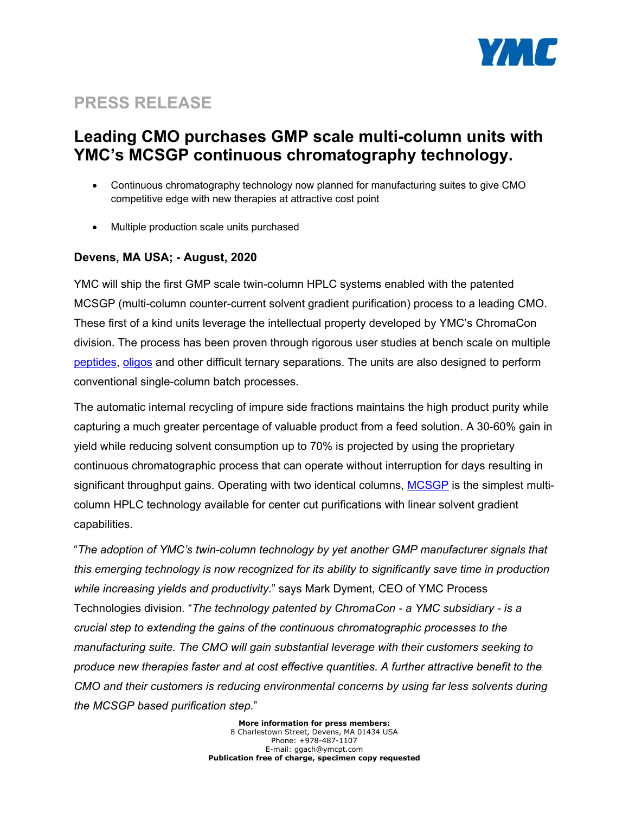

# **PRESS RELEASE**

## **Leading CMO purchases GMP scale multi-column units with YMC's MCSGP continuous chromatography technology.**

- Continuous chromatography technology now planned for manufacturing suites to give CMO competitive edge with new therapies at attractive cost point
- Multiple production scale units purchased

## **Devens, MA USA; - August, 2020**

YMC will ship the first GMP scale twin-column HPLC systems enabled with the patented MCSGP (multi-column counter-current solvent gradient purification) process to a leading CMO. These first of a kind units leverage the intellectual property developed by YMC's ChromaCon division. The process has been proven through rigorous user studies at bench scale on multiple [peptides,](http://eorder.sheridan.com/3_0/display/index.php?flashprint=8511&utm_source=mail&utm_medium=button&utm_content=agenda&ut) [oligos](https://www.chromacon.com/resources/public/lava3/media/kcfinder/files/Oligonucleotide_MCSGP_application_note.pdf) and other difficult ternary separations. The units are also designed to perform conventional single-column batch processes.

The automatic internal recycling of impure side fractions maintains the high product purity while capturing a much greater percentage of valuable product from a feed solution. A 30-60% gain in yield while reducing solvent consumption up to 70% is projected by using the proprietary continuous chromatographic process that can operate without interruption for days resulting in significant throughput gains. Operating with two identical columns, [MCSGP](https://www.chromacon.com/en/technology/continuous-polishing-processes-mcsgp) is the simplest multicolumn HPLC technology available for center cut purifications with linear solvent gradient capabilities.

"*The adoption of YMC's twin-column technology by yet another GMP manufacturer signals that this emerging technology is now recognized for its ability to significantly save time in production while increasing yields and productivity.*" says Mark Dyment, CEO of YMC Process Technologies division. "*The technology patented by ChromaCon - a YMC subsidiary - is a crucial step to extending the gains of the continuous chromatographic processes to the manufacturing suite. The CMO will gain substantial leverage with their customers seeking to produce new therapies faster and at cost effective quantities. A further attractive benefit to the CMO and their customers is reducing environmental concerns by using far less solvents during the MCSGP based purification step.*"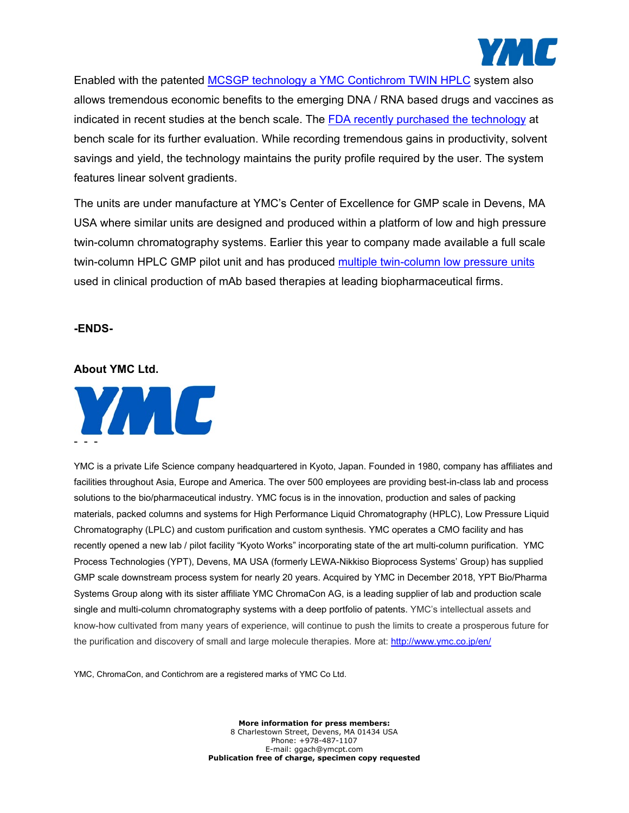

Enabled with the patented MCSGP technology a YMC [Contichrom TWIN HPLC](https://www.ymcpt.com/sites/default/files/YMC%20TWIN%20MCSGP%20HPLC%20YMC%20Cut%20Sheet_D6-030-B-02-21-2020.pdf) system also allows tremendous economic benefits to the emerging DNA / RNA based drugs and vaccines as indicated in recent studies at the bench scale. The [FDA recently purchased the technology](https://www.ymcpt.com/file/189/node/56) at bench scale for its further evaluation. While recording tremendous gains in productivity, solvent savings and yield, the technology maintains the purity profile required by the user. The system features linear solvent gradients.

The units are under manufacture at YMC's Center of Excellence for GMP scale in Devens, MA USA where similar units are designed and produced within a platform of low and high pressure twin-column chromatography systems. Earlier this year to company made available a full scale twin-column HPLC GMP pilot unit and has produced [multiple twin-column low pressure units](https://www.ymcpt.com/resource-library/contichrom-twin-lplc-data-sheet) used in clinical production of mAb based therapies at leading biopharmaceutical firms.

#### **-ENDS-**

### **About YMC Ltd.**



YMC is a private Life Science company headquartered in Kyoto, Japan. Founded in 1980, company has affiliates and facilities throughout Asia, Europe and America. The over 500 employees are providing best-in-class lab and process solutions to the bio/pharmaceutical industry. YMC focus is in the innovation, production and sales of packing materials, packed columns and systems for High Performance Liquid Chromatography (HPLC), Low Pressure Liquid Chromatography (LPLC) and custom purification and custom synthesis. YMC operates a CMO facility and has recently opened a new lab / pilot facility "Kyoto Works" incorporating state of the art multi-column purification. YMC Process Technologies (YPT), Devens, MA USA (formerly LEWA-Nikkiso Bioprocess Systems' Group) has supplied GMP scale downstream process system for nearly 20 years. Acquired by YMC in December 2018, YPT Bio/Pharma Systems Group along with its sister affiliate YMC ChromaCon AG, is a leading supplier of lab and production scale single and multi-column chromatography systems with a deep portfolio of patents. YMC's intellectual assets and know-how cultivated from many years of experience, will continue to push the limits to create a prosperous future for the purification and discovery of small and large molecule therapies. More at[: http://www.ymc.co.jp/en/](http://www.ymc.co.jp/en/)

YMC, ChromaCon, and Contichrom are a registered marks of YMC Co Ltd.

**More information for press members:** 8 Charlestown Street, Devens, MA 01434 USA Phone: +978-487-1107 E-mail: ggach@ymcpt.com **Publication free of charge, specimen copy requested**